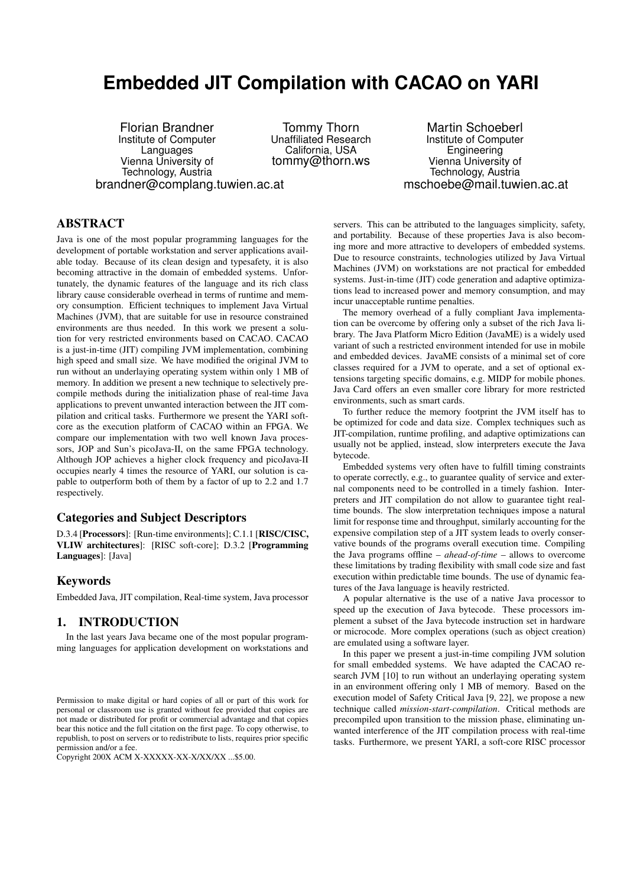# **Embedded JIT Compilation with CACAO on YARI**

Florian Brandner Institute of Computer **Languages** Vienna University of Technology, Austria brandner@complang.tuwien.ac.at

Tommy Thorn Unaffiliated Research California, USA tommy@thorn.ws

Martin Schoeberl Institute of Computer Engineering Vienna University of Technology, Austria mschoebe@mail.tuwien.ac.at

## ABSTRACT

Java is one of the most popular programming languages for the development of portable workstation and server applications available today. Because of its clean design and typesafety, it is also becoming attractive in the domain of embedded systems. Unfortunately, the dynamic features of the language and its rich class library cause considerable overhead in terms of runtime and memory consumption. Efficient techniques to implement Java Virtual Machines (JVM), that are suitable for use in resource constrained environments are thus needed. In this work we present a solution for very restricted environments based on CACAO. CACAO is a just-in-time (JIT) compiling JVM implementation, combining high speed and small size. We have modified the original JVM to run without an underlaying operating system within only 1 MB of memory. In addition we present a new technique to selectively precompile methods during the initialization phase of real-time Java applications to prevent unwanted interaction between the JIT compilation and critical tasks. Furthermore we present the YARI softcore as the execution platform of CACAO within an FPGA. We compare our implementation with two well known Java processors, JOP and Sun's picoJava-II, on the same FPGA technology. Although JOP achieves a higher clock frequency and picoJava-II occupies nearly 4 times the resource of YARI, our solution is capable to outperform both of them by a factor of up to 2.2 and 1.7 respectively.

#### Categories and Subject Descriptors

D.3.4 [Processors]: [Run-time environments]; C.1.1 [RISC/CISC, VLIW architectures]: [RISC soft-core]; D.3.2 [Programming Languages]: [Java]

#### Keywords

Embedded Java, JIT compilation, Real-time system, Java processor

## 1. INTRODUCTION

In the last years Java became one of the most popular programming languages for application development on workstations and

Copyright 200X ACM X-XXXXX-XX-X/XX/XX ...\$5.00.

servers. This can be attributed to the languages simplicity, safety, and portability. Because of these properties Java is also becoming more and more attractive to developers of embedded systems. Due to resource constraints, technologies utilized by Java Virtual Machines (JVM) on workstations are not practical for embedded systems. Just-in-time (JIT) code generation and adaptive optimizations lead to increased power and memory consumption, and may incur unacceptable runtime penalties.

The memory overhead of a fully compliant Java implementation can be overcome by offering only a subset of the rich Java library. The Java Platform Micro Edition (JavaME) is a widely used variant of such a restricted environment intended for use in mobile and embedded devices. JavaME consists of a minimal set of core classes required for a JVM to operate, and a set of optional extensions targeting specific domains, e.g. MIDP for mobile phones. Java Card offers an even smaller core library for more restricted environments, such as smart cards.

To further reduce the memory footprint the JVM itself has to be optimized for code and data size. Complex techniques such as JIT-compilation, runtime profiling, and adaptive optimizations can usually not be applied, instead, slow interpreters execute the Java bytecode.

Embedded systems very often have to fulfill timing constraints to operate correctly, e.g., to guarantee quality of service and external components need to be controlled in a timely fashion. Interpreters and JIT compilation do not allow to guarantee tight realtime bounds. The slow interpretation techniques impose a natural limit for response time and throughput, similarly accounting for the expensive compilation step of a JIT system leads to overly conservative bounds of the programs overall execution time. Compiling the Java programs offline – *ahead-of-time* – allows to overcome these limitations by trading flexibility with small code size and fast execution within predictable time bounds. The use of dynamic features of the Java language is heavily restricted.

A popular alternative is the use of a native Java processor to speed up the execution of Java bytecode. These processors implement a subset of the Java bytecode instruction set in hardware or microcode. More complex operations (such as object creation) are emulated using a software layer.

In this paper we present a just-in-time compiling JVM solution for small embedded systems. We have adapted the CACAO research JVM [\[10\]](#page-8-0) to run without an underlaying operating system in an environment offering only 1 MB of memory. Based on the execution model of Safety Critical Java [\[9,](#page-8-1) [22\]](#page-9-0), we propose a new technique called *mission-start-compilation*. Critical methods are precompiled upon transition to the mission phase, eliminating unwanted interference of the JIT compilation process with real-time tasks. Furthermore, we present YARI, a soft-core RISC processor

Permission to make digital or hard copies of all or part of this work for personal or classroom use is granted without fee provided that copies are not made or distributed for profit or commercial advantage and that copies bear this notice and the full citation on the first page. To copy otherwise, to republish, to post on servers or to redistribute to lists, requires prior specific permission and/or a fee.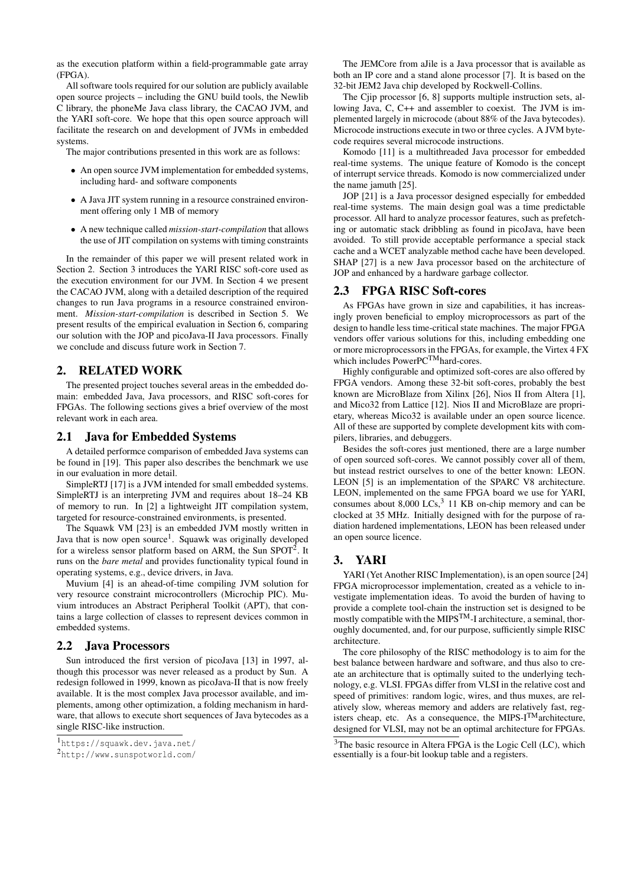as the execution platform within a field-programmable gate array (FPGA).

All software tools required for our solution are publicly available open source projects – including the GNU build tools, the Newlib C library, the phoneMe Java class library, the CACAO JVM, and the YARI soft-core. We hope that this open source approach will facilitate the research on and development of JVMs in embedded systems.

The major contributions presented in this work are as follows:

- An open source JVM implementation for embedded systems, including hard- and software components
- A Java JIT system running in a resource constrained environment offering only 1 MB of memory
- A new technique called *mission-start-compilation* that allows the use of JIT compilation on systems with timing constraints

In the remainder of this paper we will present related work in Section [2.](#page-1-0) Section [3](#page-1-1) introduces the YARI RISC soft-core used as the execution environment for our JVM. In Section [4](#page-3-0) we present the CACAO JVM, along with a detailed description of the required changes to run Java programs in a resource constrained environment. *Mission-start-compilation* is described in Section [5.](#page-5-0) We present results of the empirical evaluation in Section [6,](#page-6-0) comparing our solution with the JOP and picoJava-II Java processors. Finally we conclude and discuss future work in Section [7.](#page-7-0)

## <span id="page-1-0"></span>2. RELATED WORK

The presented project touches several areas in the embedded domain: embedded Java, Java processors, and RISC soft-cores for FPGAs. The following sections gives a brief overview of the most relevant work in each area.

## 2.1 Java for Embedded Systems

A detailed performce comparison of embedded Java systems can be found in [\[19\]](#page-8-2). This paper also describes the benchmark we use in our evaluation in more detail.

SimpleRTJ [\[17\]](#page-8-3) is a JVM intended for small embedded systems. SimpleRTJ is an interpreting JVM and requires about 18–24 KB of memory to run. In [\[2\]](#page-8-4) a lightweight JIT compilation system, targeted for resource-constrained environments, is presented.

The Squawk VM [\[23\]](#page-9-1) is an embedded JVM mostly written in Java that is now open source<sup>[1](#page-1-2)</sup>. Squawk was originally developed for a wireless sensor platform based on ARM, the Sun SPOT<sup>[2](#page-1-3)</sup>. It runs on the *bare metal* and provides functionality typical found in operating systems, e.g., device drivers, in Java.

Muvium [\[4\]](#page-8-5) is an ahead-of-time compiling JVM solution for very resource constraint microcontrollers (Microchip PIC). Muvium introduces an Abstract Peripheral Toolkit (APT), that contains a large collection of classes to represent devices common in embedded systems.

#### 2.2 Java Processors

Sun introduced the first version of picoJava [\[13\]](#page-8-6) in 1997, although this processor was never released as a product by Sun. A redesign followed in 1999, known as picoJava-II that is now freely available. It is the most complex Java processor available, and implements, among other optimization, a folding mechanism in hardware, that allows to execute short sequences of Java bytecodes as a single RISC-like instruction.

The JEMCore from aJile is a Java processor that is available as both an IP core and a stand alone processor [\[7\]](#page-8-7). It is based on the 32-bit JEM2 Java chip developed by Rockwell-Collins.

The Cjip processor [\[6,](#page-8-8) [8\]](#page-8-9) supports multiple instruction sets, allowing Java, C, C++ and assembler to coexist. The JVM is implemented largely in microcode (about 88% of the Java bytecodes). Microcode instructions execute in two or three cycles. A JVM bytecode requires several microcode instructions.

Komodo [\[11\]](#page-8-10) is a multithreaded Java processor for embedded real-time systems. The unique feature of Komodo is the concept of interrupt service threads. Komodo is now commercialized under the name jamuth [\[25\]](#page-9-2).

JOP [\[21\]](#page-8-11) is a Java processor designed especially for embedded real-time systems. The main design goal was a time predictable processor. All hard to analyze processor features, such as prefetching or automatic stack dribbling as found in picoJava, have been avoided. To still provide acceptable performance a special stack cache and a WCET analyzable method cache have been developed. SHAP [\[27\]](#page-9-3) is a new Java processor based on the architecture of JOP and enhanced by a hardware garbage collector.

## 2.3 FPGA RISC Soft-cores

As FPGAs have grown in size and capabilities, it has increasingly proven beneficial to employ microprocessors as part of the design to handle less time-critical state machines. The major FPGA vendors offer various solutions for this, including embedding one or more microprocessors in the FPGAs, for example, the Virtex 4 FX which includes PowerPC<sup>TM</sup>hard-cores.

Highly configurable and optimized soft-cores are also offered by FPGA vendors. Among these 32-bit soft-cores, probably the best known are MicroBlaze from Xilinx [\[26\]](#page-9-4), Nios II from Altera [\[1\]](#page-8-12), and Mico32 from Lattice [\[12\]](#page-8-13). Nios II and MicroBlaze are proprietary, whereas Mico32 is available under an open source licence. All of these are supported by complete development kits with compilers, libraries, and debuggers.

Besides the soft-cores just mentioned, there are a large number of open sourced soft-cores. We cannot possibly cover all of them, but instead restrict ourselves to one of the better known: LEON. LEON [\[5\]](#page-8-14) is an implementation of the SPARC V8 architecture. LEON, implemented on the same FPGA board we use for YARI, consumes about 8,000 LCs,<sup>[3](#page-1-4)</sup> 11 KB on-chip memory and can be clocked at 35 MHz. Initially designed with for the purpose of radiation hardened implementations, LEON has been released under an open source licence.

## <span id="page-1-1"></span>3. YARI

YARI (Yet Another RISC Implementation), is an open source [\[24\]](#page-9-5) FPGA microprocessor implementation, created as a vehicle to investigate implementation ideas. To avoid the burden of having to provide a complete tool-chain the instruction set is designed to be mostly compatible with the MIPS $^{TM}$ -I architecture, a seminal, thoroughly documented, and, for our purpose, sufficiently simple RISC architecture.

The core philosophy of the RISC methodology is to aim for the best balance between hardware and software, and thus also to create an architecture that is optimally suited to the underlying technology, e.g. VLSI. FPGAs differ from VLSI in the relative cost and speed of primitives: random logic, wires, and thus muxes, are relatively slow, whereas memory and adders are relatively fast, registers cheap, etc. As a consequence, the MIPS- $I<sup>TM</sup>$ architecture, designed for VLSI, may not be an optimal architecture for FPGAs.

<span id="page-1-2"></span><sup>1</sup><https://squawk.dev.java.net/>

<span id="page-1-3"></span><sup>2</sup><http://www.sunspotworld.com/>

<span id="page-1-4"></span><sup>&</sup>lt;sup>3</sup>The basic resource in Altera FPGA is the Logic Cell (LC), which essentially is a four-bit lookup table and a registers.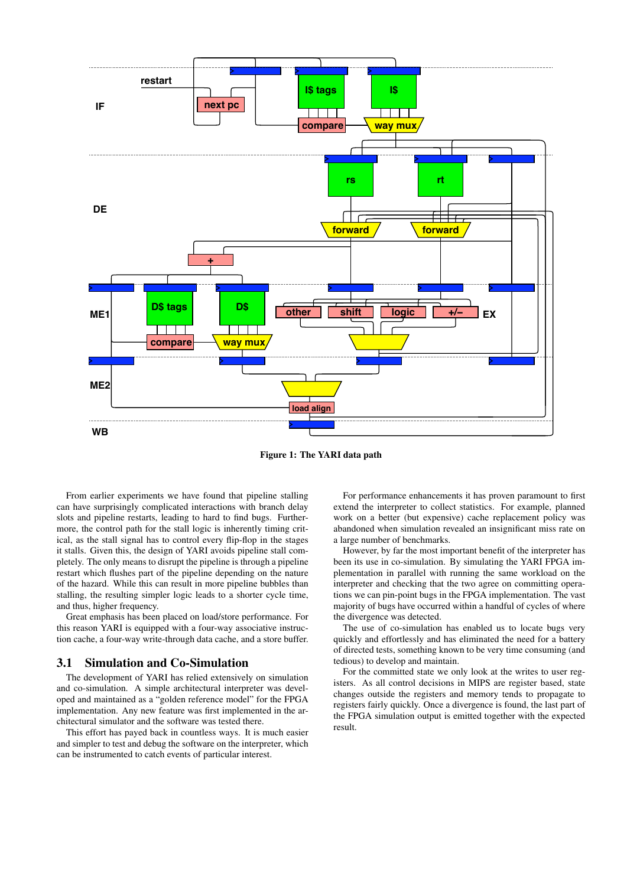

<span id="page-2-0"></span>Figure 1: The YARI data path

From earlier experiments we have found that pipeline stalling can have surprisingly complicated interactions with branch delay slots and pipeline restarts, leading to hard to find bugs. Furthermore, the control path for the stall logic is inherently timing critical, as the stall signal has to control every flip-flop in the stages it stalls. Given this, the design of YARI avoids pipeline stall completely. The only means to disrupt the pipeline is through a pipeline restart which flushes part of the pipeline depending on the nature of the hazard. While this can result in more pipeline bubbles than stalling, the resulting simpler logic leads to a shorter cycle time, and thus, higher frequency.

Great emphasis has been placed on load/store performance. For this reason YARI is equipped with a four-way associative instruction cache, a four-way write-through data cache, and a store buffer.

## 3.1 Simulation and Co-Simulation

The development of YARI has relied extensively on simulation and co-simulation. A simple architectural interpreter was developed and maintained as a "golden reference model" for the FPGA implementation. Any new feature was first implemented in the architectural simulator and the software was tested there.

This effort has payed back in countless ways. It is much easier and simpler to test and debug the software on the interpreter, which can be instrumented to catch events of particular interest.

For performance enhancements it has proven paramount to first extend the interpreter to collect statistics. For example, planned work on a better (but expensive) cache replacement policy was abandoned when simulation revealed an insignificant miss rate on a large number of benchmarks.

However, by far the most important benefit of the interpreter has been its use in co-simulation. By simulating the YARI FPGA implementation in parallel with running the same workload on the interpreter and checking that the two agree on committing operations we can pin-point bugs in the FPGA implementation. The vast majority of bugs have occurred within a handful of cycles of where the divergence was detected.

The use of co-simulation has enabled us to locate bugs very quickly and effortlessly and has eliminated the need for a battery of directed tests, something known to be very time consuming (and tedious) to develop and maintain.

For the committed state we only look at the writes to user registers. As all control decisions in MIPS are register based, state changes outside the registers and memory tends to propagate to registers fairly quickly. Once a divergence is found, the last part of the FPGA simulation output is emitted together with the expected result.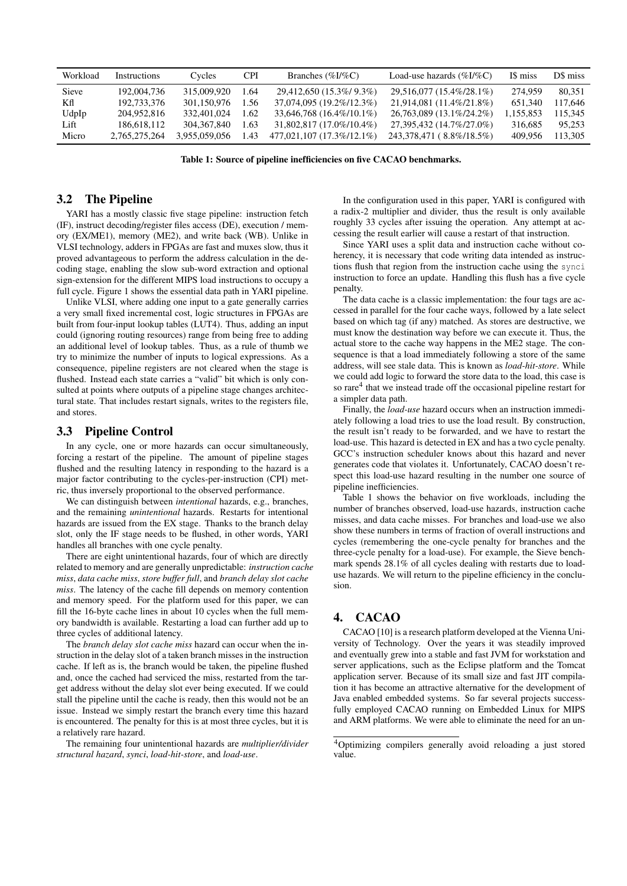| Workload     | Instructions  | Cycles        | <b>CPI</b> | Branches $(\%I/\%C)$        | Load-use hazards $(\%I/\%C)$ | IS miss   | D\$ miss |
|--------------|---------------|---------------|------------|-----------------------------|------------------------------|-----------|----------|
| <b>Sieve</b> | 192,004,736   | 315,009,920   | 1.64       | 29,412,650 (15.3%/ 9.3%)    | 29,516,077 (15.4%/28.1%)     | 274.959   | 80.351   |
| Кfl          | 192,733,376   | 301.150.976   | 1.56       | 37,074,095 (19.2\%/12.3\%)  | 21,914,081 (11.4\%/21.8\%)   | 651.340   | 117.646  |
| UdpIp        | 204,952,816   | 332,401,024   | 1.62       | 33,646,768 (16.4%/10.1%)    | 26,763,089 (13.1\%/24.2\%)   | 1.155.853 | 15.345   |
| Lift         | 186,618,112   | 304, 367, 840 | 1.63       | 31,802,817 (17.0%/10.4%)    | 27,395,432 (14.7%/27.0%)     | 316,685   | 95.253   |
| Micro        | 2.765.275.264 | 3.955.059.056 | 1.43       | 477.021.107 (17.3\%/12.1\%) | 243,378,471 (8.8%/18.5%)     | 409.956   | 113.305  |

<span id="page-3-2"></span>Table 1: Source of pipeline inefficiencies on five CACAO benchmarks.

#### 3.2 The Pipeline

YARI has a mostly classic five stage pipeline: instruction fetch (IF), instruct decoding/register files access (DE), execution / memory (EX/ME1), memory (ME2), and write back (WB). Unlike in VLSI technology, adders in FPGAs are fast and muxes slow, thus it proved advantageous to perform the address calculation in the decoding stage, enabling the slow sub-word extraction and optional sign-extension for the different MIPS load instructions to occupy a full cycle. Figure [1](#page-2-0) shows the essential data path in YARI pipeline.

Unlike VLSI, where adding one input to a gate generally carries a very small fixed incremental cost, logic structures in FPGAs are built from four-input lookup tables (LUT4). Thus, adding an input could (ignoring routing resources) range from being free to adding an additional level of lookup tables. Thus, as a rule of thumb we try to minimize the number of inputs to logical expressions. As a consequence, pipeline registers are not cleared when the stage is flushed. Instead each state carries a "valid" bit which is only consulted at points where outputs of a pipeline stage changes architectural state. That includes restart signals, writes to the registers file, and stores.

#### 3.3 Pipeline Control

In any cycle, one or more hazards can occur simultaneously, forcing a restart of the pipeline. The amount of pipeline stages flushed and the resulting latency in responding to the hazard is a major factor contributing to the cycles-per-instruction (CPI) metric, thus inversely proportional to the observed performance.

We can distinguish between *intentional* hazards, e.g., branches, and the remaining *unintentional* hazards. Restarts for intentional hazards are issued from the EX stage. Thanks to the branch delay slot, only the IF stage needs to be flushed, in other words, YARI handles all branches with one cycle penalty.

There are eight unintentional hazards, four of which are directly related to memory and are generally unpredictable: *instruction cache miss*, *data cache miss*, *store buffer full*, and *branch delay slot cache miss*. The latency of the cache fill depends on memory contention and memory speed. For the platform used for this paper, we can fill the 16-byte cache lines in about 10 cycles when the full memory bandwidth is available. Restarting a load can further add up to three cycles of additional latency.

The *branch delay slot cache miss* hazard can occur when the instruction in the delay slot of a taken branch misses in the instruction cache. If left as is, the branch would be taken, the pipeline flushed and, once the cached had serviced the miss, restarted from the target address without the delay slot ever being executed. If we could stall the pipeline until the cache is ready, then this would not be an issue. Instead we simply restart the branch every time this hazard is encountered. The penalty for this is at most three cycles, but it is a relatively rare hazard.

The remaining four unintentional hazards are *multiplier/divider structural hazard*, *synci*, *load-hit-store*, and *load-use*.

In the configuration used in this paper, YARI is configured with a radix-2 multiplier and divider, thus the result is only available roughly 33 cycles after issuing the operation. Any attempt at accessing the result earlier will cause a restart of that instruction.

Since YARI uses a split data and instruction cache without coherency, it is necessary that code writing data intended as instructions flush that region from the instruction cache using the synci instruction to force an update. Handling this flush has a five cycle penalty.

The data cache is a classic implementation: the four tags are accessed in parallel for the four cache ways, followed by a late select based on which tag (if any) matched. As stores are destructive, we must know the destination way before we can execute it. Thus, the actual store to the cache way happens in the ME2 stage. The consequence is that a load immediately following a store of the same address, will see stale data. This is known as *load-hit-store*. While we could add logic to forward the store data to the load, this case is so rare<sup>[4](#page-3-1)</sup> that we instead trade off the occasional pipeline restart for a simpler data path.

Finally, the *load-use* hazard occurs when an instruction immediately following a load tries to use the load result. By construction, the result isn't ready to be forwarded, and we have to restart the load-use. This hazard is detected in EX and has a two cycle penalty. GCC's instruction scheduler knows about this hazard and never generates code that violates it. Unfortunately, CACAO doesn't respect this load-use hazard resulting in the number one source of pipeline inefficiencies.

Table [1](#page-3-2) shows the behavior on five workloads, including the number of branches observed, load-use hazards, instruction cache misses, and data cache misses. For branches and load-use we also show these numbers in terms of fraction of overall instructions and cycles (remembering the one-cycle penalty for branches and the three-cycle penalty for a load-use). For example, the Sieve benchmark spends 28.1% of all cycles dealing with restarts due to loaduse hazards. We will return to the pipeline efficiency in the conclusion.

## <span id="page-3-0"></span>4. CACAO

CACAO [\[10\]](#page-8-0) is a research platform developed at the Vienna University of Technology. Over the years it was steadily improved and eventually grew into a stable and fast JVM for workstation and server applications, such as the Eclipse platform and the Tomcat application server. Because of its small size and fast JIT compilation it has become an attractive alternative for the development of Java enabled embedded systems. So far several projects successfully employed CACAO running on Embedded Linux for MIPS and ARM platforms. We were able to eliminate the need for an un-

<span id="page-3-1"></span><sup>4</sup>Optimizing compilers generally avoid reloading a just stored value.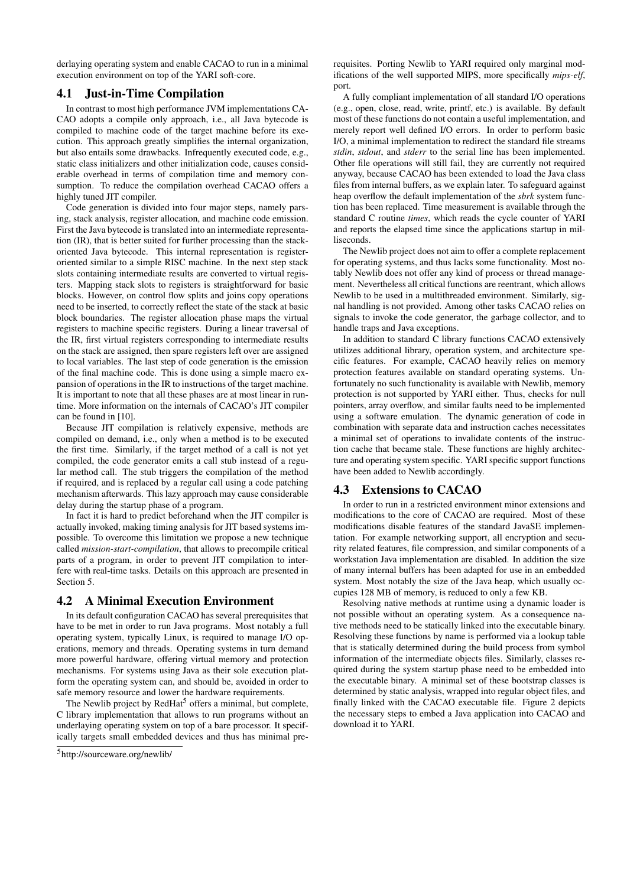derlaying operating system and enable CACAO to run in a minimal execution environment on top of the YARI soft-core.

## <span id="page-4-1"></span>4.1 Just-in-Time Compilation

In contrast to most high performance JVM implementations CA-CAO adopts a compile only approach, i.e., all Java bytecode is compiled to machine code of the target machine before its execution. This approach greatly simplifies the internal organization, but also entails some drawbacks. Infrequently executed code, e.g., static class initializers and other initialization code, causes considerable overhead in terms of compilation time and memory consumption. To reduce the compilation overhead CACAO offers a highly tuned JIT compiler.

Code generation is divided into four major steps, namely parsing, stack analysis, register allocation, and machine code emission. First the Java bytecode is translated into an intermediate representation (IR), that is better suited for further processing than the stackoriented Java bytecode. This internal representation is registeroriented similar to a simple RISC machine. In the next step stack slots containing intermediate results are converted to virtual registers. Mapping stack slots to registers is straightforward for basic blocks. However, on control flow splits and joins copy operations need to be inserted, to correctly reflect the state of the stack at basic block boundaries. The register allocation phase maps the virtual registers to machine specific registers. During a linear traversal of the IR, first virtual registers corresponding to intermediate results on the stack are assigned, then spare registers left over are assigned to local variables. The last step of code generation is the emission of the final machine code. This is done using a simple macro expansion of operations in the IR to instructions of the target machine. It is important to note that all these phases are at most linear in runtime. More information on the internals of CACAO's JIT compiler can be found in [\[10\]](#page-8-0).

Because JIT compilation is relatively expensive, methods are compiled on demand, i.e., only when a method is to be executed the first time. Similarly, if the target method of a call is not yet compiled, the code generator emits a call stub instead of a regular method call. The stub triggers the compilation of the method if required, and is replaced by a regular call using a code patching mechanism afterwards. This lazy approach may cause considerable delay during the startup phase of a program.

In fact it is hard to predict beforehand when the JIT compiler is actually invoked, making timing analysis for JIT based systems impossible. To overcome this limitation we propose a new technique called *mission-start-compilation*, that allows to precompile critical parts of a program, in order to prevent JIT compilation to interfere with real-time tasks. Details on this approach are presented in Section [5.](#page-5-0)

## 4.2 A Minimal Execution Environment

In its default configuration CACAO has several prerequisites that have to be met in order to run Java programs. Most notably a full operating system, typically Linux, is required to manage I/O operations, memory and threads. Operating systems in turn demand more powerful hardware, offering virtual memory and protection mechanisms. For systems using Java as their sole execution platform the operating system can, and should be, avoided in order to safe memory resource and lower the hardware requirements.

The Newlib project by RedHat<sup>[5](#page-4-0)</sup> offers a minimal, but complete, C library implementation that allows to run programs without an underlaying operating system on top of a bare processor. It specifically targets small embedded devices and thus has minimal prerequisites. Porting Newlib to YARI required only marginal modifications of the well supported MIPS, more specifically *mips-elf*, port.

A fully compliant implementation of all standard I/O operations (e.g., open, close, read, write, printf, etc.) is available. By default most of these functions do not contain a useful implementation, and merely report well defined I/O errors. In order to perform basic I/O, a minimal implementation to redirect the standard file streams *stdin*, *stdout*, and *stderr* to the serial line has been implemented. Other file operations will still fail, they are currently not required anyway, because CACAO has been extended to load the Java class files from internal buffers, as we explain later. To safeguard against heap overflow the default implementation of the *sbrk* system function has been replaced. Time measurement is available through the standard C routine *times*, which reads the cycle counter of YARI and reports the elapsed time since the applications startup in milliseconds.

The Newlib project does not aim to offer a complete replacement for operating systems, and thus lacks some functionality. Most notably Newlib does not offer any kind of process or thread management. Nevertheless all critical functions are reentrant, which allows Newlib to be used in a multithreaded environment. Similarly, signal handling is not provided. Among other tasks CACAO relies on signals to invoke the code generator, the garbage collector, and to handle traps and Java exceptions.

In addition to standard C library functions CACAO extensively utilizes additional library, operation system, and architecture specific features. For example, CACAO heavily relies on memory protection features available on standard operating systems. Unfortunately no such functionality is available with Newlib, memory protection is not supported by YARI either. Thus, checks for null pointers, array overflow, and similar faults need to be implemented using a software emulation. The dynamic generation of code in combination with separate data and instruction caches necessitates a minimal set of operations to invalidate contents of the instruction cache that became stale. These functions are highly architecture and operating system specific. YARI specific support functions have been added to Newlib accordingly.

## 4.3 Extensions to CACAO

In order to run in a restricted environment minor extensions and modifications to the core of CACAO are required. Most of these modifications disable features of the standard JavaSE implementation. For example networking support, all encryption and security related features, file compression, and similar components of a workstation Java implementation are disabled. In addition the size of many internal buffers has been adapted for use in an embedded system. Most notably the size of the Java heap, which usually occupies 128 MB of memory, is reduced to only a few KB.

Resolving native methods at runtime using a dynamic loader is not possible without an operating system. As a consequence native methods need to be statically linked into the executable binary. Resolving these functions by name is performed via a lookup table that is statically determined during the build process from symbol information of the intermediate objects files. Similarly, classes required during the system startup phase need to be embedded into the executable binary. A minimal set of these bootstrap classes is determined by static analysis, wrapped into regular object files, and finally linked with the CACAO executable file. Figure [2](#page-5-1) depicts the necessary steps to embed a Java application into CACAO and download it to YARI.

<span id="page-4-0"></span><sup>5</sup>http://sourceware.org/newlib/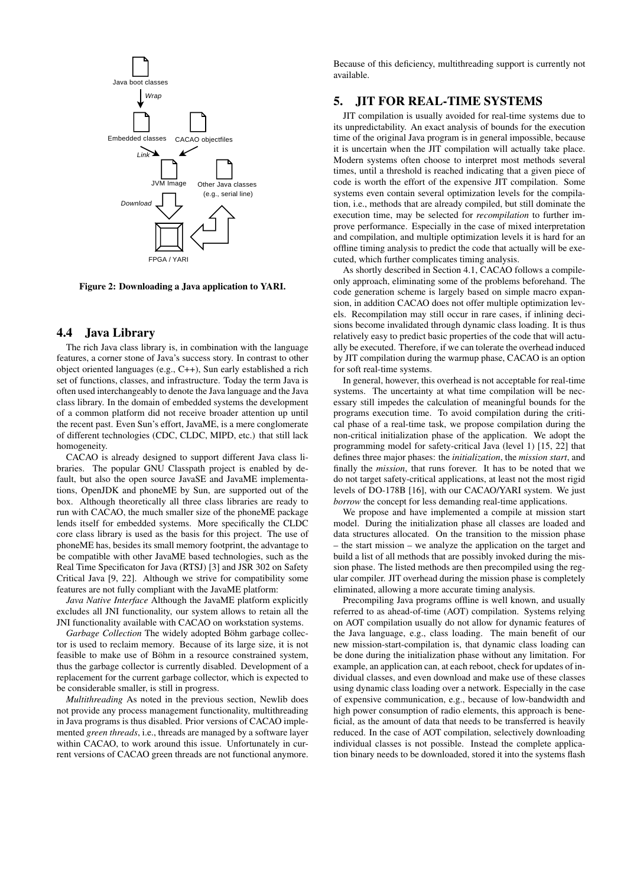

<span id="page-5-1"></span>Figure 2: Downloading a Java application to YARI.

#### 4.4 Java Library

The rich Java class library is, in combination with the language features, a corner stone of Java's success story. In contrast to other object oriented languages (e.g., C++), Sun early established a rich set of functions, classes, and infrastructure. Today the term Java is often used interchangeably to denote the Java language and the Java class library. In the domain of embedded systems the development of a common platform did not receive broader attention up until the recent past. Even Sun's effort, JavaME, is a mere conglomerate of different technologies (CDC, CLDC, MIPD, etc.) that still lack homogeneity.

CACAO is already designed to support different Java class libraries. The popular GNU Classpath project is enabled by default, but also the open source JavaSE and JavaME implementations, OpenJDK and phoneME by Sun, are supported out of the box. Although theoretically all three class libraries are ready to run with CACAO, the much smaller size of the phoneME package lends itself for embedded systems. More specifically the CLDC core class library is used as the basis for this project. The use of phoneME has, besides its small memory footprint, the advantage to be compatible with other JavaME based technologies, such as the Real Time Specificaton for Java (RTSJ) [\[3\]](#page-8-15) and JSR 302 on Safety Critical Java [\[9,](#page-8-1) [22\]](#page-9-0). Although we strive for compatibility some features are not fully compliant with the JavaME platform:

*Java Native Interface* Although the JavaME platform explicitly excludes all JNI functionality, our system allows to retain all the JNI functionality available with CACAO on workstation systems.

*Garbage Collection* The widely adopted Böhm garbage collector is used to reclaim memory. Because of its large size, it is not feasible to make use of Böhm in a resource constrained system, thus the garbage collector is currently disabled. Development of a replacement for the current garbage collector, which is expected to be considerable smaller, is still in progress.

*Multithreading* As noted in the previous section, Newlib does not provide any process management functionality, multithreading in Java programs is thus disabled. Prior versions of CACAO implemented *green threads*, i.e., threads are managed by a software layer within CACAO, to work around this issue. Unfortunately in current versions of CACAO green threads are not functional anymore.

Because of this deficiency, multithreading support is currently not available.

## <span id="page-5-0"></span>5. JIT FOR REAL-TIME SYSTEMS

JIT compilation is usually avoided for real-time systems due to its unpredictability. An exact analysis of bounds for the execution time of the original Java program is in general impossible, because it is uncertain when the JIT compilation will actually take place. Modern systems often choose to interpret most methods several times, until a threshold is reached indicating that a given piece of code is worth the effort of the expensive JIT compilation. Some systems even contain several optimization levels for the compilation, i.e., methods that are already compiled, but still dominate the execution time, may be selected for *recompilation* to further improve performance. Especially in the case of mixed interpretation and compilation, and multiple optimization levels it is hard for an offline timing analysis to predict the code that actually will be executed, which further complicates timing analysis.

As shortly described in Section [4.1,](#page-4-1) CACAO follows a compileonly approach, eliminating some of the problems beforehand. The code generation scheme is largely based on simple macro expansion, in addition CACAO does not offer multiple optimization levels. Recompilation may still occur in rare cases, if inlining decisions become invalidated through dynamic class loading. It is thus relatively easy to predict basic properties of the code that will actually be executed. Therefore, if we can tolerate the overhead induced by JIT compilation during the warmup phase, CACAO is an option for soft real-time systems.

In general, however, this overhead is not acceptable for real-time systems. The uncertainty at what time compilation will be necessary still impedes the calculation of meaningful bounds for the programs execution time. To avoid compilation during the critical phase of a real-time task, we propose compilation during the non-critical initialization phase of the application. We adopt the programming model for safety-critical Java (level 1) [\[15,](#page-8-16) [22\]](#page-9-0) that defines three major phases: the *initialization*, the *mission start*, and finally the *mission*, that runs forever. It has to be noted that we do not target safety-critical applications, at least not the most rigid levels of DO-178B [\[16\]](#page-8-17), with our CACAO/YARI system. We just *borrow* the concept for less demanding real-time applications.

We propose and have implemented a compile at mission start model. During the initialization phase all classes are loaded and data structures allocated. On the transition to the mission phase – the start mission – we analyze the application on the target and build a list of all methods that are possibly invoked during the mission phase. The listed methods are then precompiled using the regular compiler. JIT overhead during the mission phase is completely eliminated, allowing a more accurate timing analysis.

Precompiling Java programs offline is well known, and usually referred to as ahead-of-time (AOT) compilation. Systems relying on AOT compilation usually do not allow for dynamic features of the Java language, e.g., class loading. The main benefit of our new mission-start-compilation is, that dynamic class loading can be done during the initialization phase without any limitation. For example, an application can, at each reboot, check for updates of individual classes, and even download and make use of these classes using dynamic class loading over a network. Especially in the case of expensive communication, e.g., because of low-bandwidth and high power consumption of radio elements, this approach is beneficial, as the amount of data that needs to be transferred is heavily reduced. In the case of AOT compilation, selectively downloading individual classes is not possible. Instead the complete application binary needs to be downloaded, stored it into the systems flash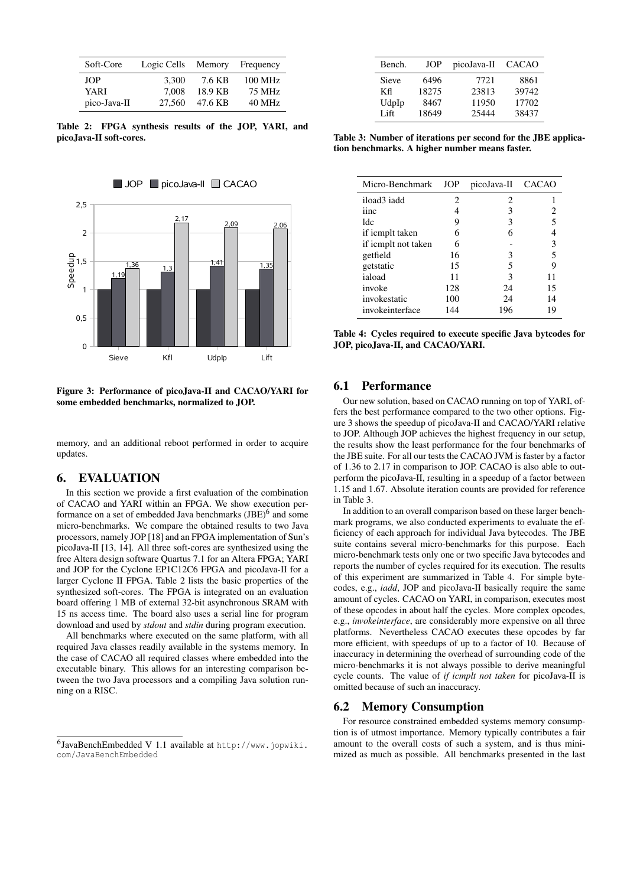| Soft-Core    | Logic Cells | Memory  | Frequency         |
|--------------|-------------|---------|-------------------|
| <b>JOP</b>   | 3.300       | 7.6 KB  | $100 \text{ MHz}$ |
| YARI         | 7.008       | 18.9 KB | 75 MHz            |
| pico-Java-II | 27,560      | 47.6 KB | $40$ MHz          |

<span id="page-6-2"></span>Table 2: FPGA synthesis results of the JOP, YARI, and picoJava-II soft-cores.



<span id="page-6-3"></span>Figure 3: Performance of picoJava-II and CACAO/YARI for some embedded benchmarks, normalized to JOP.

memory, and an additional reboot performed in order to acquire updates.

# <span id="page-6-0"></span>6. EVALUATION

In this section we provide a first evaluation of the combination of CACAO and YARI within an FPGA. We show execution per-formance on a set of embedded Java benchmarks (JBE)<sup>[6](#page-6-1)</sup> and some micro-benchmarks. We compare the obtained results to two Java processors, namely JOP [\[18\]](#page-8-18) and an FPGA implementation of Sun's picoJava-II [\[13,](#page-8-6) [14\]](#page-8-19). All three soft-cores are synthesized using the free Altera design software Quartus 7.1 for an Altera FPGA; YARI and JOP for the Cyclone EP1C12C6 FPGA and picoJava-II for a larger Cyclone II FPGA. Table [2](#page-6-2) lists the basic properties of the synthesized soft-cores. The FPGA is integrated on an evaluation board offering 1 MB of external 32-bit asynchronous SRAM with 15 ns access time. The board also uses a serial line for program download and used by *stdout* and *stdin* during program execution.

All benchmarks where executed on the same platform, with all required Java classes readily available in the systems memory. In the case of CACAO all required classes where embedded into the executable binary. This allows for an interesting comparison between the two Java processors and a compiling Java solution running on a RISC.

| Bench. | JOP   | picoJava-II | <b>CACAO</b> |
|--------|-------|-------------|--------------|
| Sieve  | 6496  | 7721        | 8861         |
| Кfl    | 18275 | 23813       | 39742        |
| UdpIp  | 8467  | 11950       | 17702        |
| Lift.  | 18649 | 25444       | 38437        |

<span id="page-6-4"></span>Table 3: Number of iterations per second for the JBE application benchmarks. A higher number means faster.

| Micro-Benchmark     | <b>JOP</b> | picoJava-II CACAO |    |
|---------------------|------------|-------------------|----|
| iload3 iadd         | 2          | 2                 |    |
| iinc                |            | 3                 |    |
| ldc                 | 9          | 3                 |    |
| if icmplt taken     | 6          | 6                 |    |
| if icmplt not taken | 6          |                   | 3  |
| getfield            | 16         | 3                 | 5  |
| getstatic           | 15         | 5                 | 9  |
| iaload              | 11         | 3                 | 11 |
| invoke              | 128        | 24                | 15 |
| invokestatic        | 100        | 24                | 14 |
| invokeinterface     | 144        | 196               | 19 |

<span id="page-6-5"></span>Table 4: Cycles required to execute specific Java bytcodes for JOP, picoJava-II, and CACAO/YARI.

## 6.1 Performance

Our new solution, based on CACAO running on top of YARI, offers the best performance compared to the two other options. Figure [3](#page-6-3) shows the speedup of picoJava-II and CACAO/YARI relative to JOP. Although JOP achieves the highest frequency in our setup, the results show the least performance for the four benchmarks of the JBE suite. For all our tests the CACAO JVM is faster by a factor of 1.36 to 2.17 in comparison to JOP. CACAO is also able to outperform the picoJava-II, resulting in a speedup of a factor between 1.15 and 1.67. Absolute iteration counts are provided for reference in Table [3.](#page-6-4)

In addition to an overall comparison based on these larger benchmark programs, we also conducted experiments to evaluate the efficiency of each approach for individual Java bytecodes. The JBE suite contains several micro-benchmarks for this purpose. Each micro-benchmark tests only one or two specific Java bytecodes and reports the number of cycles required for its execution. The results of this experiment are summarized in Table [4.](#page-6-5) For simple bytecodes, e.g., *iadd*, JOP and picoJava-II basically require the same amount of cycles. CACAO on YARI, in comparison, executes most of these opcodes in about half the cycles. More complex opcodes, e.g., *invokeinterface*, are considerably more expensive on all three platforms. Nevertheless CACAO executes these opcodes by far more efficient, with speedups of up to a factor of 10. Because of inaccuracy in determining the overhead of surrounding code of the micro-benchmarks it is not always possible to derive meaningful cycle counts. The value of *if icmplt not taken* for picoJava-II is omitted because of such an inaccuracy.

## 6.2 Memory Consumption

For resource constrained embedded systems memory consumption is of utmost importance. Memory typically contributes a fair amount to the overall costs of such a system, and is thus minimized as much as possible. All benchmarks presented in the last

<span id="page-6-1"></span><sup>6</sup> JavaBenchEmbedded V 1.1 available at [http://www.jopwiki.](http://www.jopwiki.com/JavaBenchEmbedded) [com/JavaBenchEmbedded](http://www.jopwiki.com/JavaBenchEmbedded)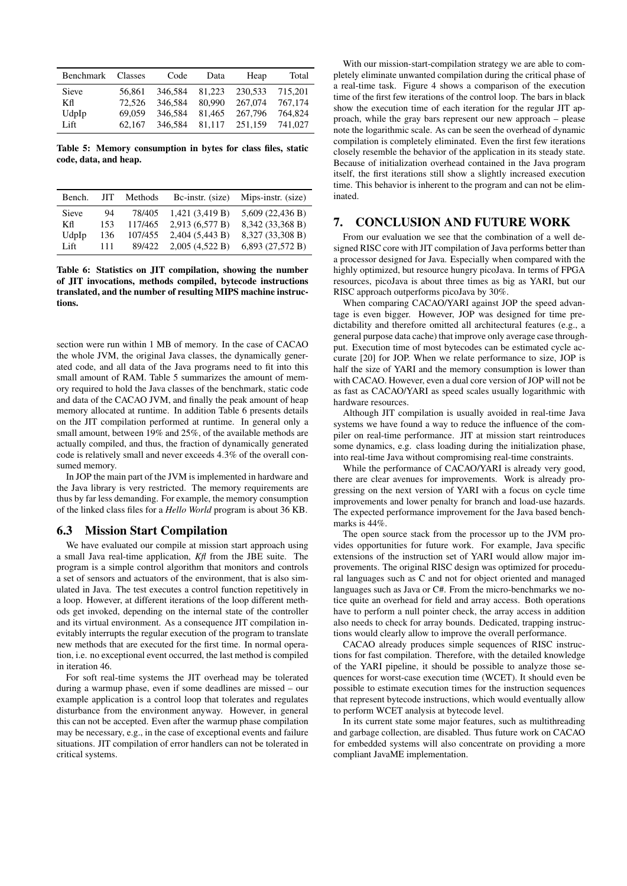| Benchmark | Classes | Code    | Data   | Heap    | Total   |
|-----------|---------|---------|--------|---------|---------|
| Sieve     | 56.861  | 346.584 | 81,223 | 230.533 | 715.201 |
| Кfl       | 72.526  | 346.584 | 80.990 | 267.074 | 767,174 |
| UdpIp     | 69.059  | 346,584 | 81.465 | 267.796 | 764.824 |
| Lift      | 62.167  | 346,584 | 81,117 | 251.159 | 741,027 |

<span id="page-7-1"></span>Table 5: Memory consumption in bytes for class files, static code, data, and heap.

| Bench.       | JIT. | Methods | Bc-instr. (size)  | Mips-instr. (size) |
|--------------|------|---------|-------------------|--------------------|
| <b>Sieve</b> | 94   | 78/405  | $1,421$ (3,419 B) | $5,609$ (22,436 B) |
| Кfl          | 153  | 117/465 | 2,913 (6,577 B)   | 8,342 (33,368 B)   |
| UdpIp        | 136  | 107/455 | $2,404$ (5,443 B) | 8,327 (33,308 B)   |
| Lift         | 111  | 89/422  | 2,005(4,522B)     | $6,893$ (27,572 B) |

<span id="page-7-2"></span>Table 6: Statistics on JIT compilation, showing the number of JIT invocations, methods compiled, bytecode instructions translated, and the number of resulting MIPS machine instructions.

section were run within 1 MB of memory. In the case of CACAO the whole JVM, the original Java classes, the dynamically generated code, and all data of the Java programs need to fit into this small amount of RAM. Table [5](#page-7-1) summarizes the amount of memory required to hold the Java classes of the benchmark, static code and data of the CACAO JVM, and finally the peak amount of heap memory allocated at runtime. In addition Table [6](#page-7-2) presents details on the JIT compilation performed at runtime. In general only a small amount, between 19% and 25%, of the available methods are actually compiled, and thus, the fraction of dynamically generated code is relatively small and never exceeds 4.3% of the overall consumed memory.

In JOP the main part of the JVM is implemented in hardware and the Java library is very restricted. The memory requirements are thus by far less demanding. For example, the memory consumption of the linked class files for a *Hello World* program is about 36 KB.

#### 6.3 Mission Start Compilation

We have evaluated our compile at mission start approach using a small Java real-time application, *Kfl* from the JBE suite. The program is a simple control algorithm that monitors and controls a set of sensors and actuators of the environment, that is also simulated in Java. The test executes a control function repetitively in a loop. However, at different iterations of the loop different methods get invoked, depending on the internal state of the controller and its virtual environment. As a consequence JIT compilation inevitably interrupts the regular execution of the program to translate new methods that are executed for the first time. In normal operation, i.e. no exceptional event occurred, the last method is compiled in iteration 46.

For soft real-time systems the JIT overhead may be tolerated during a warmup phase, even if some deadlines are missed – our example application is a control loop that tolerates and regulates disturbance from the environment anyway. However, in general this can not be accepted. Even after the warmup phase compilation may be necessary, e.g., in the case of exceptional events and failure situations. JIT compilation of error handlers can not be tolerated in critical systems.

With our mission-start-compilation strategy we are able to completely eliminate unwanted compilation during the critical phase of a real-time task. Figure [4](#page-8-20) shows a comparison of the execution time of the first few iterations of the control loop. The bars in black show the execution time of each iteration for the regular JIT approach, while the gray bars represent our new approach – please note the logarithmic scale. As can be seen the overhead of dynamic compilation is completely eliminated. Even the first few iterations closely resemble the behavior of the application in its steady state. Because of initialization overhead contained in the Java program itself, the first iterations still show a slightly increased execution time. This behavior is inherent to the program and can not be eliminated.

## <span id="page-7-0"></span>7. CONCLUSION AND FUTURE WORK

From our evaluation we see that the combination of a well designed RISC core with JIT compilation of Java performs better than a processor designed for Java. Especially when compared with the highly optimized, but resource hungry picoJava. In terms of FPGA resources, picoJava is about three times as big as YARI, but our RISC approach outperforms picoJava by 30%.

When comparing CACAO/YARI against JOP the speed advantage is even bigger. However, JOP was designed for time predictability and therefore omitted all architectural features (e.g., a general purpose data cache) that improve only average case throughput. Execution time of most bytecodes can be estimated cycle accurate [\[20\]](#page-8-21) for JOP. When we relate performance to size, JOP is half the size of YARI and the memory consumption is lower than with CACAO. However, even a dual core version of JOP will not be as fast as CACAO/YARI as speed scales usually logarithmic with hardware resources.

Although JIT compilation is usually avoided in real-time Java systems we have found a way to reduce the influence of the compiler on real-time performance. JIT at mission start reintroduces some dynamics, e.g. class loading during the initialization phase, into real-time Java without compromising real-time constraints.

While the performance of CACAO/YARI is already very good, there are clear avenues for improvements. Work is already progressing on the next version of YARI with a focus on cycle time improvements and lower penalty for branch and load-use hazards. The expected performance improvement for the Java based benchmarks is 44%.

The open source stack from the processor up to the JVM provides opportunities for future work. For example, Java specific extensions of the instruction set of YARI would allow major improvements. The original RISC design was optimized for procedural languages such as C and not for object oriented and managed languages such as Java or C#. From the micro-benchmarks we notice quite an overhead for field and array access. Both operations have to perform a null pointer check, the array access in addition also needs to check for array bounds. Dedicated, trapping instructions would clearly allow to improve the overall performance.

CACAO already produces simple sequences of RISC instructions for fast compilation. Therefore, with the detailed knowledge of the YARI pipeline, it should be possible to analyze those sequences for worst-case execution time (WCET). It should even be possible to estimate execution times for the instruction sequences that represent bytecode instructions, which would eventually allow to perform WCET analysis at bytecode level.

In its current state some major features, such as multithreading and garbage collection, are disabled. Thus future work on CACAO for embedded systems will also concentrate on providing a more compliant JavaME implementation.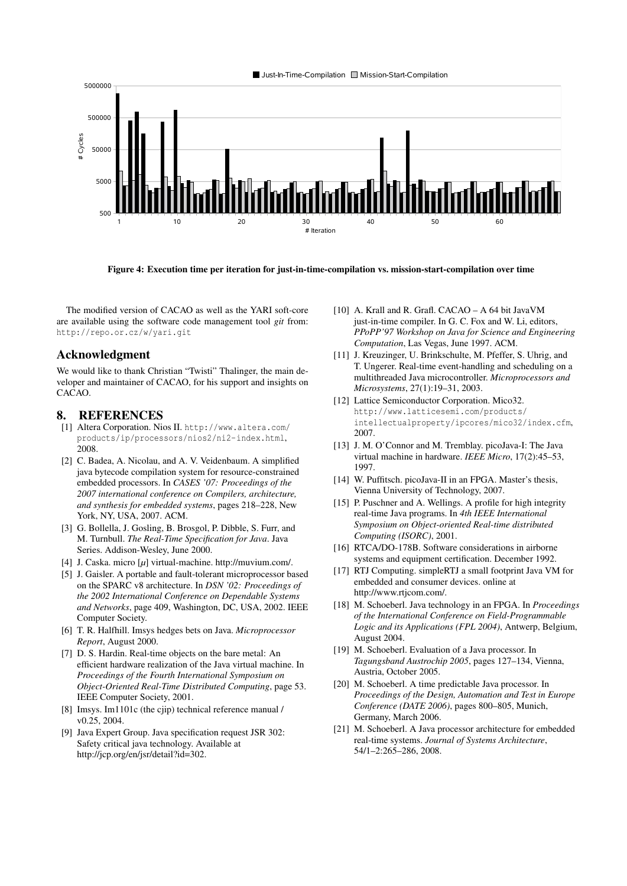

<span id="page-8-20"></span>Figure 4: Execution time per iteration for just-in-time-compilation vs. mission-start-compilation over time

The modified version of CACAO as well as the YARI soft-core are available using the software code management tool *git* from: <http://repo.or.cz/w/yari.git>

## Acknowledgment

We would like to thank Christian "Twisti" Thalinger, the main developer and maintainer of CACAO, for his support and insights on CACAO.

## 8. REFERENCES

- <span id="page-8-12"></span>[1] Altera Corporation. Nios II. [http://www.altera.com/](http://www.altera.com/products/ip/processors/nios2/ni2-index.html) [products/ip/processors/nios2/ni2-index.html](http://www.altera.com/products/ip/processors/nios2/ni2-index.html), 2008.
- <span id="page-8-4"></span>[2] C. Badea, A. Nicolau, and A. V. Veidenbaum. A simplified java bytecode compilation system for resource-constrained embedded processors. In *CASES '07: Proceedings of the 2007 international conference on Compilers, architecture, and synthesis for embedded systems*, pages 218–228, New York, NY, USA, 2007. ACM.
- <span id="page-8-15"></span>[3] G. Bollella, J. Gosling, B. Brosgol, P. Dibble, S. Furr, and M. Turnbull. *The Real-Time Specification for Java*. Java Series. Addison-Wesley, June 2000.
- <span id="page-8-5"></span>[4] J. Caska. micro [*µ*] virtual-machine. http://muvium.com/.
- <span id="page-8-14"></span>[5] J. Gaisler. A portable and fault-tolerant microprocessor based on the SPARC v8 architecture. In *DSN '02: Proceedings of the 2002 International Conference on Dependable Systems and Networks*, page 409, Washington, DC, USA, 2002. IEEE Computer Society.
- <span id="page-8-8"></span>[6] T. R. Halfhill. Imsys hedges bets on Java. *Microprocessor Report*, August 2000.
- <span id="page-8-7"></span>[7] D. S. Hardin. Real-time objects on the bare metal: An efficient hardware realization of the Java virtual machine. In *Proceedings of the Fourth International Symposium on Object-Oriented Real-Time Distributed Computing*, page 53. IEEE Computer Society, 2001.
- <span id="page-8-9"></span>[8] Imsys. Im1101c (the cjip) technical reference manual / v0.25, 2004.
- <span id="page-8-1"></span>[9] Java Expert Group. Java specification request JSR 302: Safety critical java technology. Available at http://jcp.org/en/jsr/detail?id=302.
- <span id="page-8-0"></span>[10] A. Krall and R. Grafl. CACAO – A 64 bit JavaVM just-in-time compiler. In G. C. Fox and W. Li, editors, *PPoPP'97 Workshop on Java for Science and Engineering Computation*, Las Vegas, June 1997. ACM.
- <span id="page-8-10"></span>[11] J. Kreuzinger, U. Brinkschulte, M. Pfeffer, S. Uhrig, and T. Ungerer. Real-time event-handling and scheduling on a multithreaded Java microcontroller. *Microprocessors and Microsystems*, 27(1):19–31, 2003.
- <span id="page-8-13"></span>[12] Lattice Semiconductor Corporation. Mico32. [http://www.latticesemi.com/products/](http://www.latticesemi.com/products/intellectualproperty/ipcores/mico32/index.cfm) [intellectualproperty/ipcores/mico32/index.cfm](http://www.latticesemi.com/products/intellectualproperty/ipcores/mico32/index.cfm), 2007.
- <span id="page-8-6"></span>[13] J. M. O'Connor and M. Tremblay. picoJava-I: The Java virtual machine in hardware. *IEEE Micro*, 17(2):45–53, 1997.
- <span id="page-8-19"></span>[14] W. Puffitsch. picoJava-II in an FPGA. Master's thesis, Vienna University of Technology, 2007.
- <span id="page-8-16"></span>[15] P. Puschner and A. Wellings. A profile for high integrity real-time Java programs. In *4th IEEE International Symposium on Object-oriented Real-time distributed Computing (ISORC)*, 2001.
- <span id="page-8-17"></span>[16] RTCA/DO-178B. Software considerations in airborne systems and equipment certification. December 1992.
- <span id="page-8-3"></span>[17] RTJ Computing. simpleRTJ a small footprint Java VM for embedded and consumer devices. online at http://www.rtjcom.com/.
- <span id="page-8-18"></span>[18] M. Schoeberl. Java technology in an FPGA. In *Proceedings of the International Conference on Field-Programmable Logic and its Applications (FPL 2004)*, Antwerp, Belgium, August 2004.
- <span id="page-8-2"></span>[19] M. Schoeberl. Evaluation of a Java processor. In *Tagungsband Austrochip 2005*, pages 127–134, Vienna, Austria, October 2005.
- <span id="page-8-21"></span>[20] M. Schoeberl. A time predictable Java processor. In *Proceedings of the Design, Automation and Test in Europe Conference (DATE 2006)*, pages 800–805, Munich, Germany, March 2006.
- <span id="page-8-11"></span>[21] M. Schoeberl. A Java processor architecture for embedded real-time systems. *Journal of Systems Architecture*, 54/1–2:265–286, 2008.